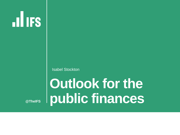

Isabel Stockton

# **Outlook for the public finances**

**@TheIFS**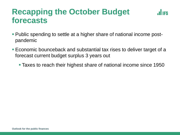### **Recapping the October Budget forecasts**

$$
\mathbf{d} \mathbf{d}
$$

- Public spending to settle at a higher share of national income postpandemic
- Economic bounceback and substantial tax rises to deliver target of a forecast current budget surplus 3 years out
	- **Taxes to reach their highest share of national income since 1950**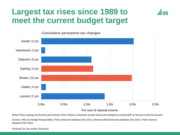## **Largest tax rises since 1989 to meet the current budget target**





#### Per cent of national income

Notes: Policy costings are the final year forecast of the Treasury 'scorecard' at each fiscal event divided by nominal GDP as forecast at that fiscal event.

Sources: Office for Budget Responsibility, Policy measures database (Dec 2021), Historical official forecasts database (Oct 2021), Public finances databank (Feb 2022).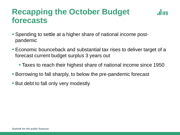### **Recapping the October Budget forecasts**

**JULIES** 

- Spending to settle at a higher share of national income postpandemic
- Economic bounceback and substantial tax rises to deliver target of a forecast current budget surplus 3 years out
	- **Taxes to reach their highest share of national income since 1950**
- Borrowing to fall sharply, to below the pre-pandemic forecast
- **But debt to fall only very modestly**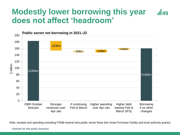### **Modestly lower borrowing this year JULIES does not affect 'headroom'**



Note: receipts and spending excluding PSNB-neutral intra-public sector flows (the Asset Purchase Facility and local authority grants)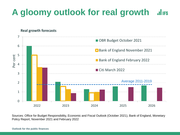### **A gloomy outlook for real growth ILIFS**



Sources: Office for Budget Responsibility, Economic and Fiscal Outlook (October 2021), Bank of England, Monetary Policy Report, November 2021 and February 2022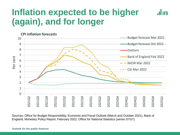## **Inflation expected to be higher (again), and for longer**



**JULIES** 

Sources: Office for Budget Responsibility, Economic and Fiscal Outlook (March and October 2021), Bank of England, Monetary Policy Report, February 2022, Office for National Statistics (series D7G7).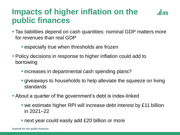## **Impacts of higher inflation on the public finances**



- **Tax liabilities depend on cash quantities: nominal GDP matters more** for revenues than real GDP
	- **Exercially true when thresholds are frozen**
- **Policy decisions in response to higher inflation could add to** borrowing
	- increases in departmental cash spending plans?
	- giveaways to households to help alleviate the squeeze on living standards
- **About a quarter of the government's debt is index-linked** 
	- we estimate higher RPI will increase debt interest by £11 billion in 2021–22
	- next year could easily add £20 billion or more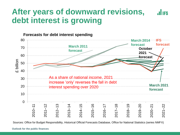### **After years of downward revisions, JULIES debt interest is growing**



Sources: Office for Budget Responsibility, Historical Official Forecasts Database, Office for National Statistics (series NMFX)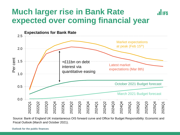### **Much larger rise in Bank Rate JULIES expected over coming financial year**



Source: Bank of England UK instantaneous OIS forward curve and Office for Budget Responsibility: Economic and Fiscal Outlook (March and October 2021).